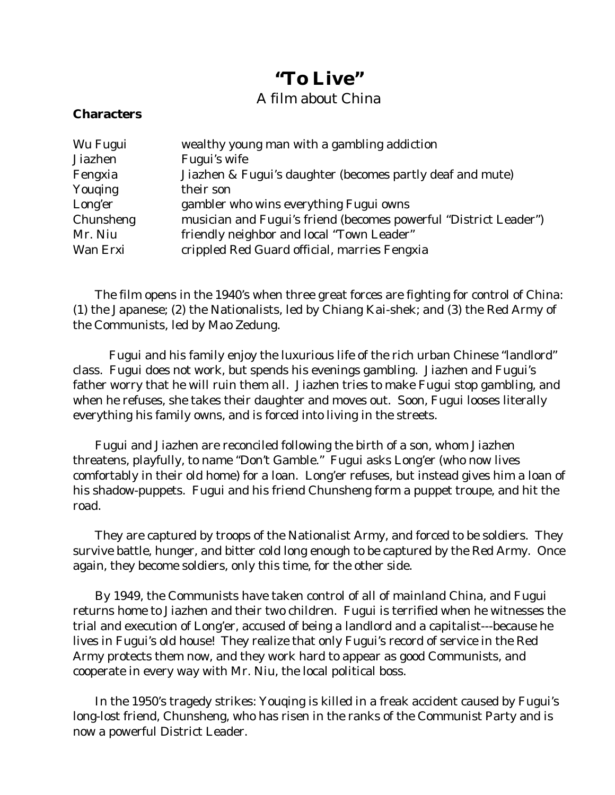## **"To Live"**

## A film about China

## **Characters**

| Wu Fugui       | wealthy young man with a gambling addiction                      |
|----------------|------------------------------------------------------------------|
| <b>Jiazhen</b> | Fugui's wife                                                     |
| Fengxia        | Jiazhen & Fugui's daughter (becomes partly deaf and mute)        |
| Youqing        | their son                                                        |
| Long'er        | gambler who wins everything Fugui owns                           |
| Chunsheng      | musician and Fugui's friend (becomes powerful "District Leader") |
| Mr. Niu        | friendly neighbor and local "Town Leader"                        |
| Wan Erxi       | crippled Red Guard official, marries Fengxia                     |

The film opens in the 1940's when three great forces are fighting for control of China: (1) the Japanese; (2) the Nationalists, led by Chiang Kai-shek; and (3) the Red Army of the Communists, led by Mao Zedung.

Fugui and his family enjoy the luxurious life of the rich urban Chinese "landlord" class. Fugui does not work, but spends his evenings gambling. Jiazhen and Fugui's father worry that he will ruin them all. Jiazhen tries to make Fugui stop gambling, and when he refuses, she takes their daughter and moves out. Soon, Fugui looses literally everything his family owns, and is forced into living in the streets.

Fugui and Jiazhen are reconciled following the birth of a son, whom Jiazhen threatens, playfully, to name "Don't Gamble." Fugui asks Long'er (who now lives comfortably in their old home) for a loan. Long'er refuses, but instead gives him a loan of his shadow-puppets. Fugui and his friend Chunsheng form a puppet troupe, and hit the road.

They are captured by troops of the Nationalist Army, and forced to be soldiers. They survive battle, hunger, and bitter cold long enough to be captured by the Red Army. Once again, they become soldiers, only this time, for the other side.

By 1949, the Communists have taken control of all of mainland China, and Fugui returns home to Jiazhen and their two children. Fugui is terrified when he witnesses the trial and execution of Long'er, accused of being a landlord and a capitalist---because he lives in Fugui's old house! They realize that only Fugui's record of service in the Red Army protects them now, and they work hard to appear as good Communists, and cooperate in every way with Mr. Niu, the local political boss.

In the 1950's tragedy strikes: Youqing is killed in a freak accident caused by Fugui's long-lost friend, Chunsheng, who has risen in the ranks of the Communist Party and is now a powerful District Leader.